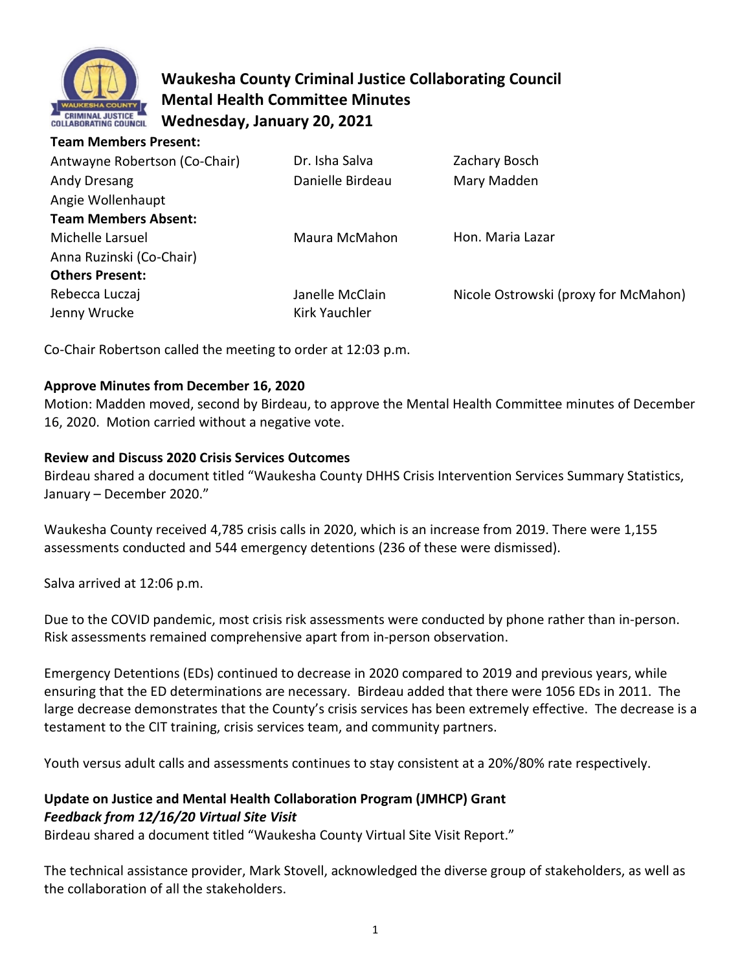

# **Waukesha County Criminal Justice Collaborating Council Mental Health Committee Minutes Wednesday, January 20, 2021**

| TEATH IVIEITINETS FIESEITL.   |                  |                                      |
|-------------------------------|------------------|--------------------------------------|
| Antwayne Robertson (Co-Chair) | Dr. Isha Salva   | Zachary Bosch                        |
| Andy Dresang                  | Danielle Birdeau | Mary Madden                          |
| Angie Wollenhaupt             |                  |                                      |
| <b>Team Members Absent:</b>   |                  |                                      |
| Michelle Larsuel              | Maura McMahon    | Hon. Maria Lazar                     |
| Anna Ruzinski (Co-Chair)      |                  |                                      |
| <b>Others Present:</b>        |                  |                                      |
| Rebecca Luczaj                | Janelle McClain  | Nicole Ostrowski (proxy for McMahon) |
| Jenny Wrucke                  | Kirk Yauchler    |                                      |
|                               |                  |                                      |

Co-Chair Robertson called the meeting to order at 12:03 p.m.

## **Approve Minutes from December 16, 2020**

Motion: Madden moved, second by Birdeau, to approve the Mental Health Committee minutes of December 16, 2020. Motion carried without a negative vote.

#### **Review and Discuss 2020 Crisis Services Outcomes**

Birdeau shared a document titled "Waukesha County DHHS Crisis Intervention Services Summary Statistics, January – December 2020."

Waukesha County received 4,785 crisis calls in 2020, which is an increase from 2019. There were 1,155 assessments conducted and 544 emergency detentions (236 of these were dismissed).

Salva arrived at 12:06 p.m.

Due to the COVID pandemic, most crisis risk assessments were conducted by phone rather than in-person. Risk assessments remained comprehensive apart from in-person observation.

Emergency Detentions (EDs) continued to decrease in 2020 compared to 2019 and previous years, while ensuring that the ED determinations are necessary. Birdeau added that there were 1056 EDs in 2011. The large decrease demonstrates that the County's crisis services has been extremely effective. The decrease is a testament to the CIT training, crisis services team, and community partners.

Youth versus adult calls and assessments continues to stay consistent at a 20%/80% rate respectively.

# **Update on Justice and Mental Health Collaboration Program (JMHCP) Grant** *Feedback from 12/16/20 Virtual Site Visit*

Birdeau shared a document titled "Waukesha County Virtual Site Visit Report."

The technical assistance provider, Mark Stovell, acknowledged the diverse group of stakeholders, as well as the collaboration of all the stakeholders.